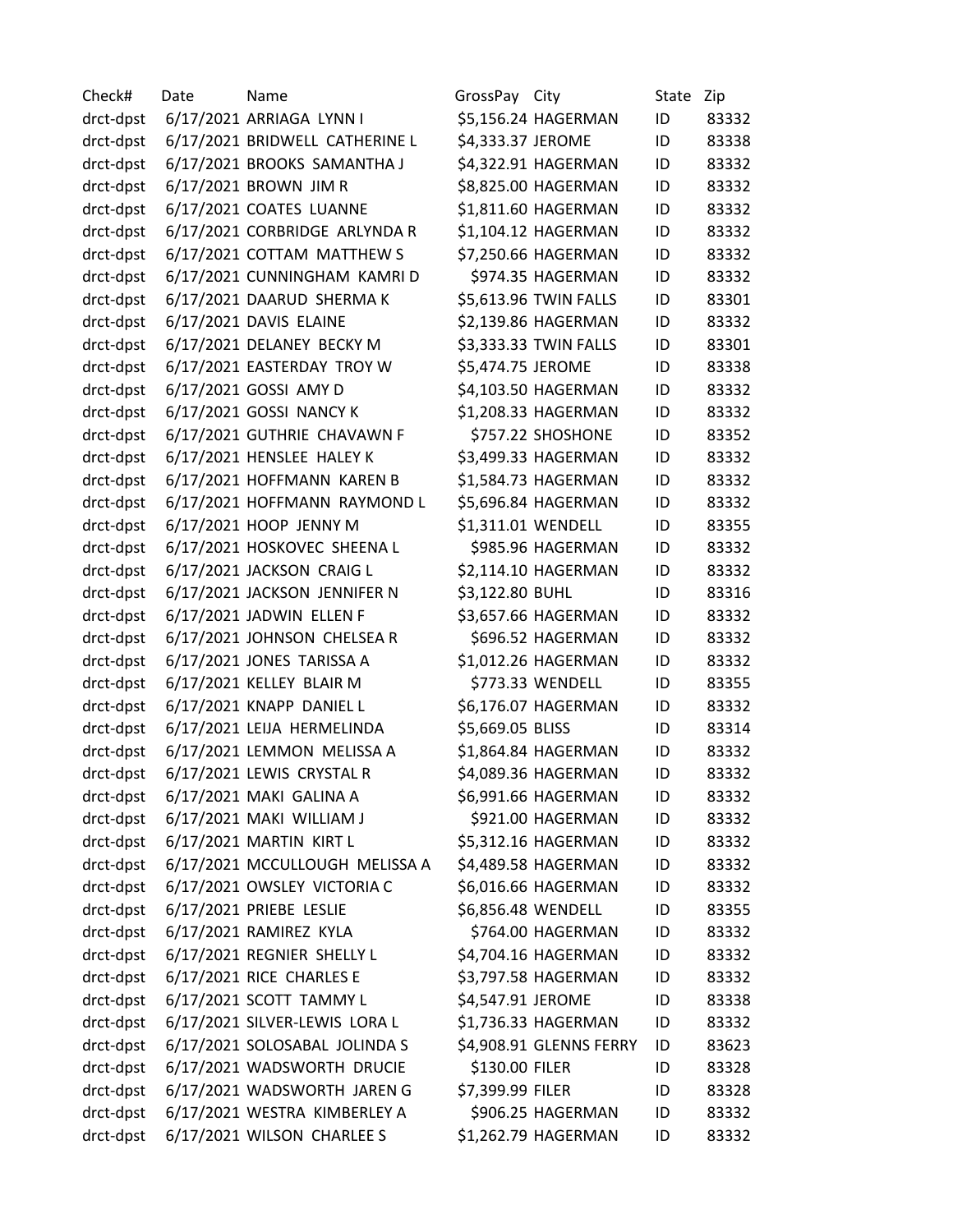| Check#    | Date | Name                           | GrossPay City     |                         | State | Zip   |
|-----------|------|--------------------------------|-------------------|-------------------------|-------|-------|
| drct-dpst |      | 6/17/2021 ARRIAGA LYNN I       |                   | \$5,156.24 HAGERMAN     | ID    | 83332 |
| drct-dpst |      | 6/17/2021 BRIDWELL CATHERINE L | \$4,333.37 JEROME |                         | ID    | 83338 |
| drct-dpst |      | 6/17/2021 BROOKS SAMANTHA J    |                   | \$4,322.91 HAGERMAN     | ID    | 83332 |
| drct-dpst |      | 6/17/2021 BROWN JIM R          |                   | \$8,825.00 HAGERMAN     | ID    | 83332 |
| drct-dpst |      | 6/17/2021 COATES LUANNE        |                   | \$1,811.60 HAGERMAN     | ID    | 83332 |
| drct-dpst |      | 6/17/2021 CORBRIDGE ARLYNDA R  |                   | \$1,104.12 HAGERMAN     | ID    | 83332 |
| drct-dpst |      | 6/17/2021 COTTAM MATTHEW S     |                   | \$7,250.66 HAGERMAN     | ID    | 83332 |
| drct-dpst |      | 6/17/2021 CUNNINGHAM KAMRI D   |                   | \$974.35 HAGERMAN       | ID    | 83332 |
| drct-dpst |      | 6/17/2021 DAARUD SHERMA K      |                   | \$5,613.96 TWIN FALLS   | ID    | 83301 |
| drct-dpst |      | 6/17/2021 DAVIS ELAINE         |                   | \$2,139.86 HAGERMAN     | ID    | 83332 |
| drct-dpst |      | 6/17/2021 DELANEY BECKY M      |                   | \$3,333.33 TWIN FALLS   | ID    | 83301 |
| drct-dpst |      | 6/17/2021 EASTERDAY TROY W     | \$5,474.75 JEROME |                         | ID    | 83338 |
| drct-dpst |      | 6/17/2021 GOSSI AMY D          |                   | \$4,103.50 HAGERMAN     | ID    | 83332 |
| drct-dpst |      | 6/17/2021 GOSSI NANCY K        |                   | \$1,208.33 HAGERMAN     | ID    | 83332 |
| drct-dpst |      | 6/17/2021 GUTHRIE CHAVAWN F    |                   | \$757.22 SHOSHONE       | ID    | 83352 |
| drct-dpst |      | 6/17/2021 HENSLEE HALEY K      |                   | \$3,499.33 HAGERMAN     | ID    | 83332 |
| drct-dpst |      | 6/17/2021 HOFFMANN KAREN B     |                   | \$1,584.73 HAGERMAN     | ID    | 83332 |
| drct-dpst |      | 6/17/2021 HOFFMANN RAYMOND L   |                   | \$5,696.84 HAGERMAN     | ID    | 83332 |
| drct-dpst |      | 6/17/2021 HOOP JENNY M         |                   | \$1,311.01 WENDELL      | ID    | 83355 |
| drct-dpst |      | 6/17/2021 HOSKOVEC SHEENA L    |                   | \$985.96 HAGERMAN       | ID    | 83332 |
| drct-dpst |      | 6/17/2021 JACKSON CRAIG L      |                   | \$2,114.10 HAGERMAN     | ID    | 83332 |
| drct-dpst |      | 6/17/2021 JACKSON JENNIFER N   | \$3,122.80 BUHL   |                         | ID    | 83316 |
| drct-dpst |      | 6/17/2021 JADWIN ELLEN F       |                   | \$3,657.66 HAGERMAN     | ID    | 83332 |
| drct-dpst |      | 6/17/2021 JOHNSON CHELSEA R    |                   | \$696.52 HAGERMAN       | ID    | 83332 |
| drct-dpst |      | 6/17/2021 JONES TARISSA A      |                   | \$1,012.26 HAGERMAN     | ID    | 83332 |
| drct-dpst |      | 6/17/2021 KELLEY BLAIR M       |                   | \$773.33 WENDELL        | ID    | 83355 |
| drct-dpst |      | 6/17/2021 KNAPP DANIEL L       |                   | \$6,176.07 HAGERMAN     | ID    | 83332 |
| drct-dpst |      | 6/17/2021 LEIJA HERMELINDA     | \$5,669.05 BLISS  |                         | ID    | 83314 |
| drct-dpst |      | 6/17/2021 LEMMON MELISSA A     |                   | \$1,864.84 HAGERMAN     | ID    | 83332 |
| drct-dpst |      | 6/17/2021 LEWIS CRYSTAL R      |                   | \$4,089.36 HAGERMAN     | ID    | 83332 |
| drct-dpst |      | 6/17/2021 MAKI GALINA A        |                   | \$6,991.66 HAGERMAN     | ID    | 83332 |
| drct-dpst |      | 6/17/2021 MAKI WILLIAM J       |                   | \$921.00 HAGERMAN       | ID    | 83332 |
| drct-dpst |      | 6/17/2021 MARTIN KIRT L        |                   | \$5,312.16 HAGERMAN     | ID    | 83332 |
| drct-dpst |      | 6/17/2021 MCCULLOUGH MELISSA A |                   | \$4,489.58 HAGERMAN     | ID    | 83332 |
| drct-dpst |      | 6/17/2021 OWSLEY VICTORIA C    |                   | \$6,016.66 HAGERMAN     | ID    | 83332 |
| drct-dpst |      | 6/17/2021 PRIEBE LESLIE        |                   | \$6,856.48 WENDELL      | ID    | 83355 |
| drct-dpst |      | 6/17/2021 RAMIREZ KYLA         |                   | \$764.00 HAGERMAN       | ID    | 83332 |
| drct-dpst |      | 6/17/2021 REGNIER SHELLY L     |                   | \$4,704.16 HAGERMAN     | ID    | 83332 |
| drct-dpst |      | 6/17/2021 RICE CHARLES E       |                   | \$3,797.58 HAGERMAN     | ID    | 83332 |
| drct-dpst |      | 6/17/2021 SCOTT TAMMY L        | \$4,547.91 JEROME |                         | ID    | 83338 |
| drct-dpst |      | 6/17/2021 SILVER-LEWIS LORA L  |                   | \$1,736.33 HAGERMAN     | ID    | 83332 |
| drct-dpst |      | 6/17/2021 SOLOSABAL JOLINDA S  |                   | \$4,908.91 GLENNS FERRY | ID    | 83623 |
| drct-dpst |      | 6/17/2021 WADSWORTH DRUCIE     | \$130.00 FILER    |                         | ID    | 83328 |
| drct-dpst |      | 6/17/2021 WADSWORTH JAREN G    | \$7,399.99 FILER  |                         | ID    | 83328 |
| drct-dpst |      | 6/17/2021 WESTRA KIMBERLEY A   |                   | \$906.25 HAGERMAN       | ID    | 83332 |
| drct-dpst |      | 6/17/2021 WILSON CHARLEE S     |                   | \$1,262.79 HAGERMAN     | ID    | 83332 |